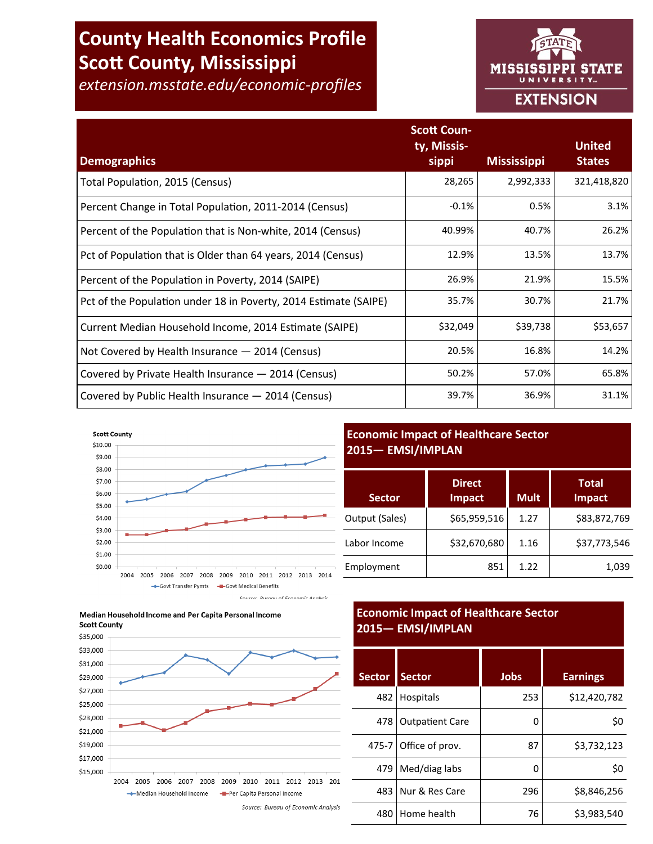# **County Health Economics Profile Scott County, Mississippi**

*extension.msstate.edu/economic-profiles*



|                                                                  | <b>Scott Coun-</b><br>ty, Missis- |                    | <b>United</b> |
|------------------------------------------------------------------|-----------------------------------|--------------------|---------------|
| <b>Demographics</b>                                              | sippi                             | <b>Mississippi</b> | <b>States</b> |
| Total Population, 2015 (Census)                                  | 28,265                            | 2,992,333          | 321,418,820   |
| Percent Change in Total Population, 2011-2014 (Census)           | $-0.1%$                           | 0.5%               | 3.1%          |
| Percent of the Population that is Non-white, 2014 (Census)       | 40.99%                            | 40.7%              | 26.2%         |
| Pct of Population that is Older than 64 years, 2014 (Census)     | 12.9%                             | 13.5%              | 13.7%         |
| Percent of the Population in Poverty, 2014 (SAIPE)               | 26.9%                             | 21.9%              | 15.5%         |
| Pct of the Population under 18 in Poverty, 2014 Estimate (SAIPE) | 35.7%                             | 30.7%              | 21.7%         |
| Current Median Household Income, 2014 Estimate (SAIPE)           | \$32,049                          | \$39,738           | \$53,657      |
| Not Covered by Health Insurance - 2014 (Census)                  | 20.5%                             | 16.8%              | 14.2%         |
| Covered by Private Health Insurance - 2014 (Census)              | 50.2%                             | 57.0%              | 65.8%         |
| Covered by Public Health Insurance - 2014 (Census)               | 39.7%                             | 36.9%              | 31.1%         |







## **Economic Impact of Healthcare Sector 2015— EMSI/IMPLAN**

| <b>Sector</b>  | <b>Direct</b><br><b>Impact</b> | <b>Mult</b> | <b>Total</b><br><b>Impact</b> |
|----------------|--------------------------------|-------------|-------------------------------|
| Output (Sales) | \$65,959,516                   | 1.27        | \$83,872,769                  |
| Labor Income   | \$32,670,680                   | 1.16        | \$37,773,546                  |
| Employment     | 851                            | 1.22        | 1,039                         |

# **Economic Impact of Healthcare Sector 2015— EMSI/IMPLAN**

| <b>Sector</b> | <b>Sector</b>          | Jobs | <b>Earnings</b> |
|---------------|------------------------|------|-----------------|
| 482           | Hospitals              | 253  | \$12,420,782    |
| 478           | <b>Outpatient Care</b> | 0    | \$0             |
| 475-7         | Office of prov.        | 87   | \$3,732,123     |
| 479           | Med/diag labs          | 0    | \$0             |
| 483           | Nur & Res Care         | 296  | \$8,846,256     |
| 480           | Home health            | 76   | \$3,983,540     |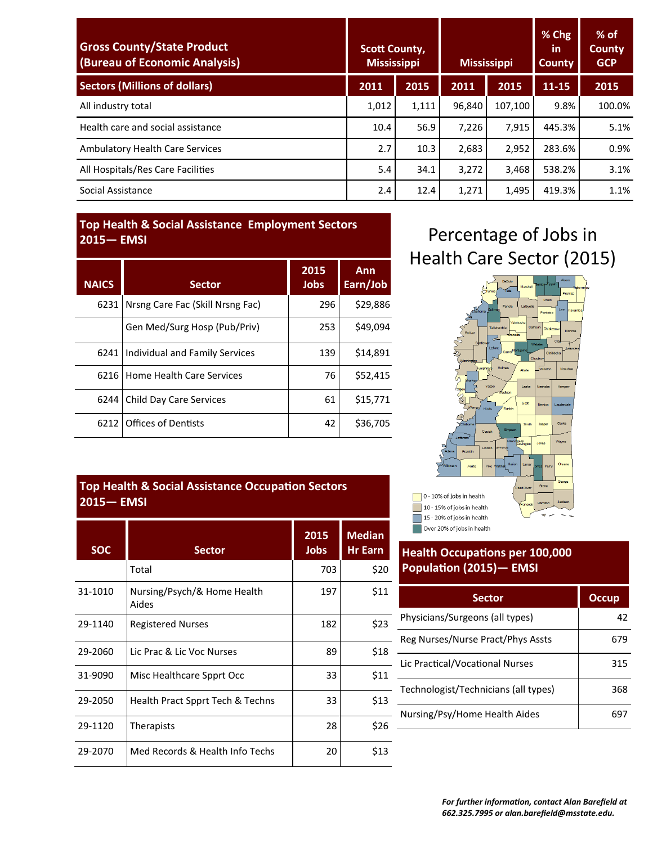| <b>Gross County/State Product</b><br>(Bureau of Economic Analysis) | <b>Scott County,</b><br><b>Mississippi</b> |       | <b>Mississippi</b> |         | % Chg<br><b>in</b><br><b>County</b> | $%$ of<br><b>County</b><br><b>GCP</b> |
|--------------------------------------------------------------------|--------------------------------------------|-------|--------------------|---------|-------------------------------------|---------------------------------------|
| <b>Sectors (Millions of dollars)</b>                               | 2011                                       | 2015  | 2011               | 2015    | 11-15                               | 2015                                  |
| All industry total                                                 | 1,012                                      | 1,111 | 96,840             | 107,100 | 9.8%                                | 100.0%                                |
| Health care and social assistance                                  | 10.4                                       | 56.9  | 7.226              | 7,915   | 445.3%                              | 5.1%                                  |
| <b>Ambulatory Health Care Services</b>                             | 2.7                                        | 10.3  | 2,683              | 2,952   | 283.6%                              | 0.9%                                  |
| All Hospitals/Res Care Facilities                                  | 5.4                                        | 34.1  | 3,272              | 3,468   | 538.2%                              | 3.1%                                  |
| Social Assistance                                                  | 2.4                                        | 12.4  | 1,271              | 1,495   | 419.3%                              | 1.1%                                  |

## **Top Health & Social Assistance Employment Sectors 2015— EMSI**

| <b>NAICS</b> | <b>Sector</b>                    | 2015<br>Jobs | Ann<br>Earn/Job |
|--------------|----------------------------------|--------------|-----------------|
| 6231         | Nrsng Care Fac (Skill Nrsng Fac) | 296          | \$29.886        |
|              | Gen Med/Surg Hosp (Pub/Priv)     | 253          | \$49,094        |
| 6241         | Individual and Family Services   | 139          | \$14,891        |
| 6216         | l Home Health Care Services      | 76           | \$52,415        |
| 6244         | Child Day Care Services          | 61           | \$15,771        |
| 6212         | <b>Offices of Dentists</b>       | 42           | \$36,705        |

## **Top Health & Social Assistance Occupation Sectors 2015— EMSI**

| <b>SOC</b> | <b>Sector</b>                        | 2015<br><b>Jobs</b> | <b>Median</b><br><b>Hr Earn</b> |
|------------|--------------------------------------|---------------------|---------------------------------|
|            | Total                                | 703                 | \$20                            |
| 31-1010    | Nursing/Psych/& Home Health<br>Aides | 197                 | \$11                            |
| 29-1140    | <b>Registered Nurses</b>             | 182                 | \$23                            |
| 29-2060    | Lic Prac & Lic Voc Nurses            | 89                  | \$18                            |
| 31-9090    | Misc Healthcare Spprt Occ            | 33                  | \$11                            |
| 29-2050    | Health Pract Spprt Tech & Techns     | 33                  | \$13                            |
| 29-1120    | Therapists                           | 28                  | \$26                            |
| 29-2070    | Med Records & Health Info Techs      | 20                  | \$13                            |

# Percentage of Jobs in Health Care Sector (2015)



# **Health Occupations per 100,000 Population (2015)— EMSI**

| <b>Sector</b>                        | <b>Occup</b> |
|--------------------------------------|--------------|
| Physicians/Surgeons (all types)      | 42           |
| Reg Nurses/Nurse Pract/Phys Assts    | 679          |
| Lic Practical/Vocational Nurses      | 315          |
| Technologist/Technicians (all types) | 368          |
| Nursing/Psy/Home Health Aides        |              |
|                                      |              |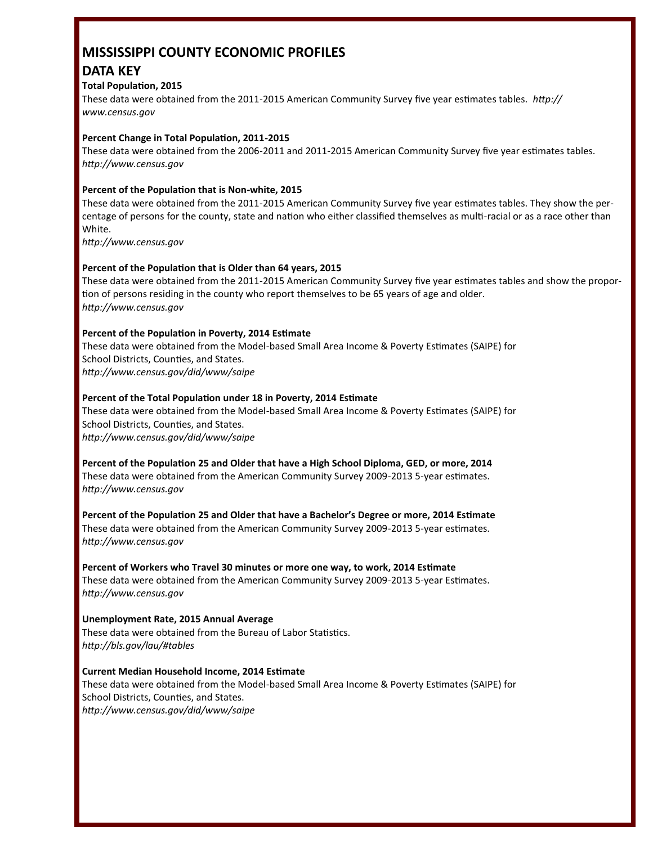# **MISSISSIPPI COUNTY ECONOMIC PROFILES DATA KEY**

### **Total Population, 2015**

These data were obtained from the 2011-2015 American Community Survey five year estimates tables. *http:// www.census.gov*

#### **Percent Change in Total Population, 2011-2015**

These data were obtained from the 2006-2011 and 2011-2015 American Community Survey five year estimates tables. *http://www.census.gov*

### **Percent of the Population that is Non-white, 2015**

These data were obtained from the 2011-2015 American Community Survey five year estimates tables. They show the percentage of persons for the county, state and nation who either classified themselves as multi-racial or as a race other than White.

*http://www.census.gov*

### **Percent of the Population that is Older than 64 years, 2015**

These data were obtained from the 2011-2015 American Community Survey five year estimates tables and show the proportion of persons residing in the county who report themselves to be 65 years of age and older. *http://www.census.gov*

### **Percent of the Population in Poverty, 2014 Estimate**

These data were obtained from the Model-based Small Area Income & Poverty Estimates (SAIPE) for School Districts, Counties, and States. *http://www.census.gov/did/www/saipe*

### **Percent of the Total Population under 18 in Poverty, 2014 Estimate**

These data were obtained from the Model-based Small Area Income & Poverty Estimates (SAIPE) for School Districts, Counties, and States. *http://www.census.gov/did/www/saipe*

**Percent of the Population 25 and Older that have a High School Diploma, GED, or more, 2014** These data were obtained from the American Community Survey 2009-2013 5-year estimates. *http://www.census.gov*

**Percent of the Population 25 and Older that have a Bachelor's Degree or more, 2014 Estimate** These data were obtained from the American Community Survey 2009-2013 5-year estimates. *http://www.census.gov*

**Percent of Workers who Travel 30 minutes or more one way, to work, 2014 Estimate** These data were obtained from the American Community Survey 2009-2013 5-year Estimates. *http://www.census.gov*

**Unemployment Rate, 2015 Annual Average** These data were obtained from the Bureau of Labor Statistics. *http://bls.gov/lau/#tables*

**Current Median Household Income, 2014 Estimate** These data were obtained from the Model-based Small Area Income & Poverty Estimates (SAIPE) for School Districts, Counties, and States. *http://www.census.gov/did/www/saipe*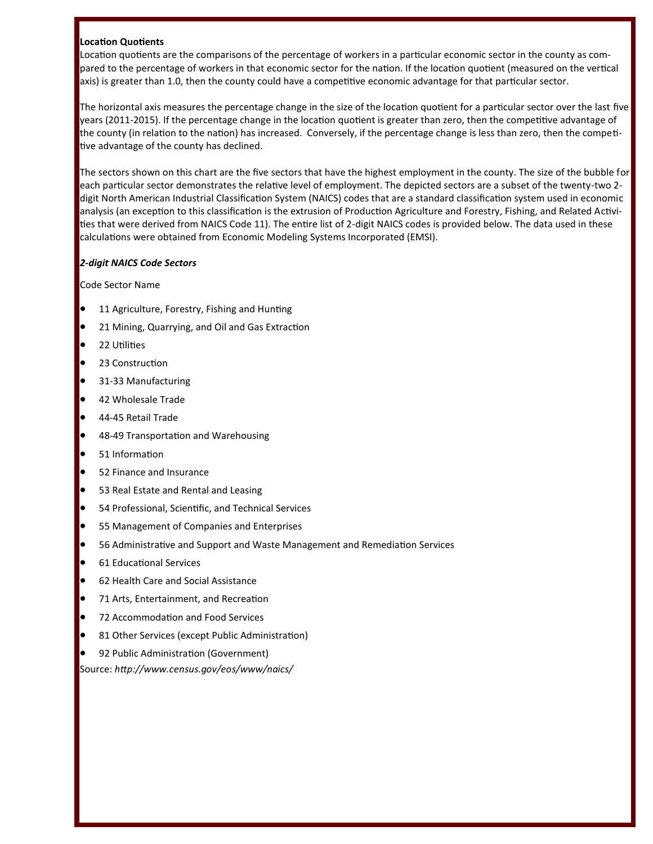### **Location Quotients**

Location quotients are the comparisons of the percentage of workers in a particular economic sector in the county as compared to the percentage of workers in that economic sector for the nation. If the location quotient (measured on the vertical axis) is greater than 1.0, then the county could have a competitive economic advantage for that particular sector.

The horizontal axis measures the percentage change in the size of the location quotient for a particular sector over the last five years (2011-2015). If the percentage change in the location quotient is greater than zero, then the competitive advantage of the county (in relation to the nation) has increased. Conversely, if the percentage change is less than zero, then the competitive advantage of the county has declined.

The sectors shown on this chart are the five sectors that have the highest employment in the county. The size of the bubble for each particular sector demonstrates the relative level of employment. The depicted sectors are a subset of the twenty-two 2 digit North American Industrial Classification System (NAICS) codes that are a standard classification system used in economic analysis (an exception to this classification is the extrusion of Production Agriculture and Forestry, Fishing, and Related Activities that were derived from NAICS Code 11). The entire list of 2-digit NAICS codes is provided below. The data used in these calculations were obtained from Economic Modeling Systems Incorporated (EMSI).

## *2-digit NAICS Code Sectors*

Code Sector Name

- **•** 11 Agriculture, Forestry, Fishing and Hunting
- 21 Mining, Quarrying, and Oil and Gas Extraction
- 22 Utilities
- 23 Construction
- 31-33 Manufacturing
- 42 Wholesale Trade
- 44-45 Retail Trade
- 48-49 Transportation and Warehousing
- 51 Information
- 52 Finance and Insurance
- 53 Real Estate and Rental and Leasing
- 54 Professional, Scientific, and Technical Services
- 55 Management of Companies and Enterprises
- 56 Administrative and Support and Waste Management and Remediation Services
- 61 Educational Services
- 62 Health Care and Social Assistance
- 71 Arts, Entertainment, and Recreation
- 72 Accommodation and Food Services
- 81 Other Services (except Public Administration)
- 92 Public Administration (Government)

Source: *http://www.census.gov/eos/www/naics/*